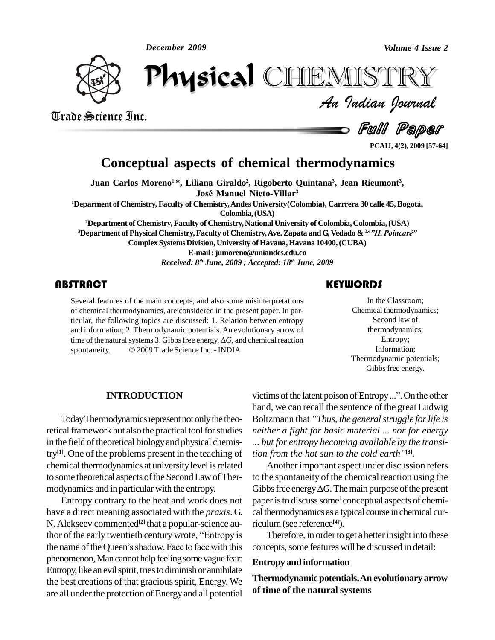*December 2009*



*Volume 4 Issue 2*<br>IISTRY<br>Indian Iournal December 2009<br> **Physical** CHEMISTRY

Trade Science Inc. Trade Science Inc.

**Full Paper** 

**PCAIJ, 4(2), 2009 [57-64]**

### **Conceptual aspects of chemical thermodynamics**

**Juan Carlos Moreno 1,\*, Liliana Giraldo 2 , Rigoberto Quintana 3 , Jean Rieumont 3 , Jos<sup>È</sup> Manuel Nieto-Villar** José Manuel Nieto-Villar<sup>3</sup>

**<sup>1</sup>Deparment of Chemistry, Faculty of Chemistry,Andes University(Colombia), Carrrera <sup>30</sup> calle 45, Bogot·, Colombia,(USA)**

**<sup>2</sup>Department of Chemistry, Faculty of Chemistry,NationalUniversity of Colombia,Colombia,(USA) <sup>3</sup>Department of Physical Chemistry,Faculty of Chemistry,Ave.Zapata andG, Vedado & 3,4***îH.PoincarÈî* **Complex Systems Division, University of Havana, Havana 10400, (CUBA) E-mail:[jumoreno@uniandes.edu.co](mailto:jumoreno@uniandes.edu.co)**

*Received: 8 th June, 2009 ; Accepted: 18 th June, 2009*

Several features of the n<br>of chemical thermodynai<br>ticular, the following top Several features of the main concepts, and also some misinterpretations of chemical thermodynamics, are considered in the present paper. In particular, the following topics are discussed: 1. Relation between entropy and information; 2. Thermodynamic potentials. An evolutionary arrow of ticular, the following topics are discussed: 1. Relation between entropy<br>and information; 2. Thermodynamic potentials. An evolutionary arrow of<br>time of the natural systems 3. Gibbs free energy,  $\Delta G$ , and chemical reactio and information; 2. Thermodynamic potentials. An evolutionary artime of the natural systems 3. Gibbs free energy,  $\Delta G$ , and chemical respontaneity.  $\circ$  2009 Trade Science Inc. - INDIA

### **KEYWORDS**

In the Classroot<br>Chemical thermodyr<br>Second law of In the Classroom; Chemical thermodynamics; Second law of thermodynamics; Entropy; Information; Thermodynamic potentials; Gibbs free energy.

#### **INTRODUCTION**

retical framework but also the practical tool for studies in the field of theoretical biology and physical chemistry<sup>[1]</sup>. One of the problems present in the teaching of *tion* chemical thermodynamics atuniversitylevel isrelated to some theoretical aspects of the Second Law of Thermodynamics and in particular with the entropy.

Entropy contrary to the heat and work does not have a direct meaning associated with the *praxis*. G. N. Alekseev commented<sup>[2]</sup> that a popular-science au-<br>ric have a direct meaning associated with the *praxis*. G cal th<br>N. Alekseev commented<sup>[2]</sup> that a popular-science au-<br>thor of the early twentieth century wrote, "Entropy is N. Alekseev commented<sup>[2]</sup> that a popular-science au-<br>thor of the early twentieth century wrote, "Entropy is <br>the name of the Queen's shadow. Face to face with this conc phenomenon, Man cannot help feeling some vague fear: Entropy, like an evil spirit, tries to diminish or annihilate the best creations of that gracious spirit, Energy. We are all under the protection of Energy and all potential

Today Thermodynamics represent not only the theo-<br>Boltzmann that "Thus, the general struggle for life is Gibbs free energy.<br>victims of the latent poison of Entropy ...". On the other hand, we can recall the sentence of the great Ludwig victims of the latent poison of Entropy ...". On the other<br>hand, we can recall the sentence of the great Ludwig<br>Boltzmann that "Thus, the general struggle for life is neither a fight for basic material ... nor for energy<br>... but for entropy becoming available by the transi-<br>tion from the hot sun to the cold earth "<sup>[3]</sup>. *... but for entropy becoming available by the transi*tion from the hot sun to the cold earth<sup>"[3]</sup>.

> Another important aspect under discussion refers to the spontaneity of the chemical reaction using the Another important aspect under discussion refers<br>to the spontaneity of the chemical reaction using the<br>Gibbs free energy  $\Delta G$ . The main purpose of the present paper is to discuss some<sup>1</sup> conceptual aspects of chemical thermodynamics as a typical course in chemical curriculum(see reference **[4]**).

Therefore, in order to get a better insight into these concepts, some features will be discussed in detail:

#### **Entropy and information**

**Thermodynamicpotentials.An evolutionary arrow of time of the natural systems**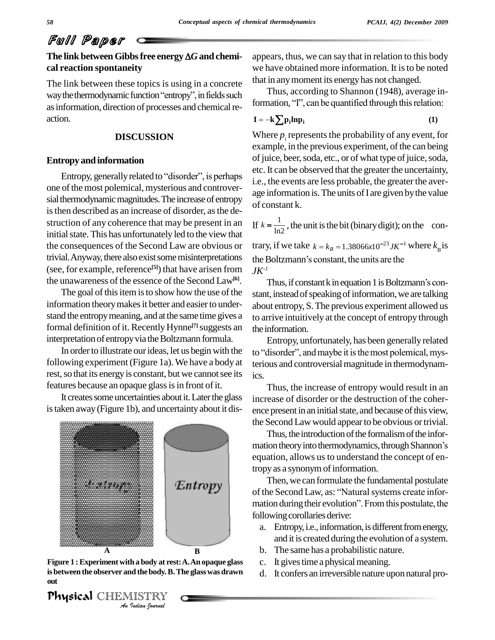### **The link betweenGibbsfree energy***G***and chemi cal reaction spontaneity**

The link between these topics is using in a concrete  $\frac{d}{dx}$ we hav<br>The link between these topics is using in a concrete that in a<br>way the thermodynamic function "entropy", in fields such Th as information, direction of processes and chemical reaction.

### **DISCUSSION**

### **Entropy and information**

Entropy, generally related to "disorder", is perhaps one of the most polemical, mysterious and controversial thermodynamic magnitudes. The increase of entropy is then described as an increase of disorder, as the destruction of any coherence that may be present in an initial state. This has unfortunately led to the view that the consequences of the Second Law are obvious or trivial. Anyway, there also exist some misinterpretations the Boltzmann's constant, the units are the (see, for example, reference<sup>[5]</sup>) that have arisen from  $JK^{-1}$ the unawareness of the essence of the Second Law<sup>[6]</sup>.

The goal of this item is to show how the use of the information theory makes it better and easier to understand the entropy meaning, and at the same time gives a formal definition of it. Recently Hynne<sup>[7]</sup> suggests an the info interpretation of entropy via the Boltzmann formula.

In order to illustrate our ideas, let us begin with the following experiment(Figure 1a). We have a body at rest, so that its energy is constant, but we cannot see its features because an opaque glass is in front of it.

It creates some uncertainties about it. Later the glass istaken away(Figure 1b), and uncertaintyabout it dis-



**In a body at rest<br>***I* Is the body. B.<br>IISTRY <del>om</del><br>Physical CHEMISTRY Figure 1 : Experiment with a body at rest: A. An opaque glass c. It gives time a physical meaning.<br>
is between the observer and the body. B. The glass was drawn d. It confers an irreversible nature upon natural pro**is betweenthe observer and thebody.B.The glasswas drawn out**

appears, thus, we can say that in relation to this body we have obtained more information. It is to be noted that in anymoment its energyhas not changed.

Thus, according to Shannon (1948), average information, its energy has not changed.<br>Thus, according to Shannon (1948), average information, "I", can be quantified through this relation: Thus, acc<br>mation, "T"<br> $-k \sum n \cdot ln n$ 

$$
\mathbf{I} = -\mathbf{k} \sum \mathbf{p}_i \mathbf{ln} \mathbf{p}_i \tag{1}
$$

Where  $p_i$  represents the probability of any event, for example, in the previous experiment, of the can being of juice, beer, soda, etc., or of what type of juice, soda, etc. It can be observed that the greater the uncertainty, i.e., the events are less probable, the greater the aver age information is. The units of I are given by the value of constant k.

If  $k = \frac{1}{\ln 2}$ , the uni constant k.<br> $k = \frac{1}{\ln 2}$ , the unit is the bit (binary digit); on the con-If  $k = \frac{1}{\ln 2}$ , the unit is the bit (binary digit); on the con-<br>trary, if we take  $k = k_B = 1.38066x10^{-23} J K^{-1}$  where  $k_B$  is

trary, if we take  $k = k_B = 1.38066x10^{-23}$  JK<sup>-1</sup> where k<br>the Boltzmann's constant, the units are the *JK-1*

Thus, if constant  $k$  in equation 1 is Boltzmann's constant, instead of speaking of information, we are talking about entropy, S.The previous experiment allowed us to arrive intuitively at the concept of entropy through the information.

Entropy, unfortunately, has been generally related to "disorder", and maybe it is the most polemical, mysterious and controversial magnitude in thermodynamics.

Thus, the increase of entropy would result in an increase of disorder or the destruction of the coher ence present in an initial state, and because of this view,

the Second Law would appear to be obvious or trivial.<br>Thus, the introduction of the formalism of the information theory into thermodynamics, through Shannon's Thus, the introduction of the formalism of the inforequation, allows us to understand the concept of entropy as a synonym of information.

Then, we can formulate the fundamental postulate of the Second Law, as: "Natural systems create information during their evolution". From this postulate, the following corollaries derive:

- a. Entropy, i.e., information, is different from energy, and it is created during the evolution of a system.
- b. The same has a probabilistic nature.
- c. It gives time a physical meaning.
-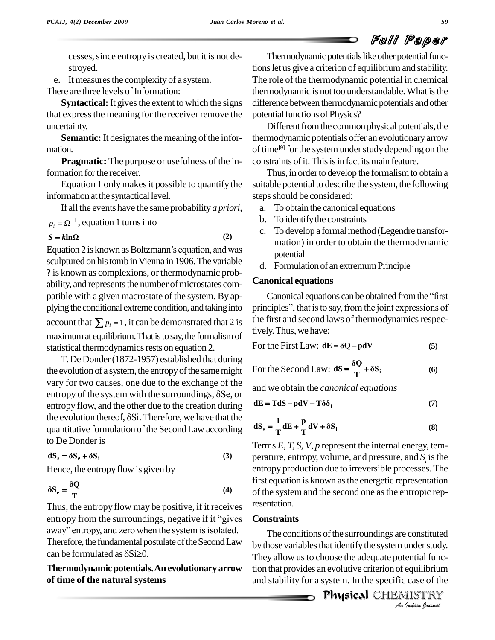cesses, since entropy is created, but it is not destroved.

e. It measures the complexity of a system.

There are three levels of Information:

**Syntactical:** It gives the extent to which the signs that express the meaning for the receiver remove the uncertainty.

**Semantic:** It designates the meaning of the information.

**Pragmatic:** The purpose or usefulness of the information for the receiver.

Equation 1 only makes it possible to quantify the information at the syntactical level.

If all the events have the same probability  $a priori$ ,

$$
p_i = \Omega^{-1}
$$
, equation 1 turns into

$$
S = k \ln \Omega \tag{2}
$$

Equation 2 is known as Boltzmann's equation, and was sculptured on his tomb in Vienna in 1906. The variable ? is known as complexions, or thermodynamic probability, and represents the number of microstates compatible with a given macrostate of the system. By applying the conditional extreme condition, and taking into account that  $\sum p_i = 1$ , it can be demonstrated that 2 is maximum at equilibrium. That is to say, the formalism of statistical thermodynamics rests on equation 2.

T. De Donder (1872-1957) established that during the evolution of a system, the entropy of the same might vary for two causes, one due to the exchange of the entropy of the system with the surroundings,  $\delta$ Se, or entropy flow, and the other due to the creation during the evolution thereof,  $\delta$ Si. Therefore, we have that the quantitative formulation of the Second Law according to De Donder is

$$
dS_s = \delta S_e + \delta S_i \tag{3}
$$

Hence, the entropy flow is given by

$$
\delta S_e = \frac{\delta Q}{T}
$$
 (4)

Thus, the entropy flow may be positive, if it receives entropy from the surroundings, negative if it "gives away" entropy, and zero when the system is isolated. Therefore, the fundamental postulate of the Second Law can be formulated as  $\delta$ Si $\geq$ 0.

### Thermodynamic potentials. An evolutionary arrow of time of the natural systems

Thermodynamic potentials like other potential functions let us give a criterion of equilibrium and stability. The role of the thermodynamic potential in chemical thermodynamic is not too understandable. What is the difference between thermodynamic potentials and other potential functions of Physics?

Different from the common physical potentials, the thermodynamic potentials offer an evolutionary arrow of time<sup>[9]</sup> for the system under study depending on the constraints of it. This is in fact its main feature.

Thus, in order to develop the formalism to obtain a suitable potential to describe the system, the following steps should be considered:

- To obtain the canonical equations  $a<sub>z</sub>$
- b. To identify the constraints
- c. To develop a formal method (Legendre transformation) in order to obtain the thermodynamic potential
- d. Formulation of an extremum Principle

### **Canonical equations**

Canonical equations can be obtained from the "first" principles", that is to say, from the joint expressions of the first and second laws of thermodynamics respectively. Thus, we have:

For the First Law: 
$$
dE = \delta Q - pdV
$$
 (5)

For the Second Law: 
$$
dS = \frac{\delta Q}{T} + \delta S_i
$$
 (6)

and we obtain the *canonical equations* 

$$
dE = TdS - pdV - T\delta\delta_i
$$
 (7)

$$
dS_s = \frac{1}{T} dE + \frac{p}{T} dV + \delta S_i
$$
 (8)

Terms  $E$ ,  $T$ ,  $S$ ,  $V$ ,  $p$  represent the internal energy, temperature, entropy, volume, and pressure, and  $S_i$  is the entropy production due to irreversible processes. The first equation is known as the energetic representation of the system and the second one as the entropic representation.

### **Constraints**

The conditions of the surroundings are constituted by those variables that identify the system under study. They allow us to choose the adequate potential function that provides an evolutive criterion of equilibrium and stability for a system. In the specific case of the

**Physical CHEMISTRY** An Indian Journal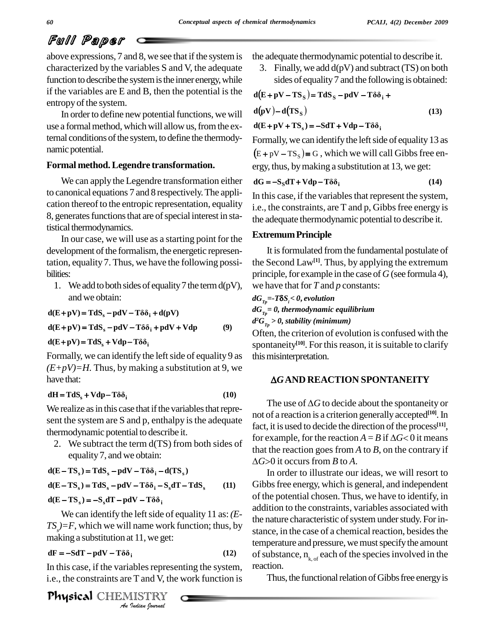above expressions, 7 and 8, we see that if the system is characterized by the variables S and V, the adequate function to describe the system is the inner energy, while if the variables are E and B, then the potential is the entropy of the system.

In order to define new potential functions, we will use a formal method, which will allow us, from the external conditions of the system, to define the thermodynamic potential.

### **Formal method.Legendre transformation.**

We can apply the Legendre transformation either to canonical equations 7 and 8 respectively.The appli cation thereof to the entropic representation, equality 8, generates functions that are of special interest in statistical thermodynamics.

In our case, we will use as a starting point for the development of the formalism, the energetic representation, equality 7. Thus, we have the following possi bilities:

1. We add to both sides of equality 7 the term  $d(pV)$ , and we obtain: and we obtain:<br> **d**(E+pV) = TdS<sub>s</sub> - pdV - T $\delta \delta_i$  + d(pV)

$$
d(E + pV) = TdSs - pdV - T\delta\deltai + d(pV)
$$
  
\n
$$
d(E + pV) = TdSs - pdV - T\delta\deltai + pdV + Vdp
$$
 (9)  
\n
$$
d(E + pV) = TdSs + Vdp - T\delta\deltai
$$

$$
d(E + pV) = TdSs + Vdp - T\delta\deltai
$$

Formally, we can identify the left side of equality 9 as  $(E+pV)=H$ . Thus, by making a substitution at 9, we have that:

### $dH = TdS<sub>s</sub> + Vdp - T\delta\delta<sub>i</sub>$  (10)

We realize as in this case that if the variables that represent the system are S and p, enthalpy is the adequate thermodynamic potential to describe it.

2. We subtract the term d(TS) from both sides of equality 7, and we obtain:<br>**d**(**E** – **TS**<sub>s</sub>) = **TdS**<sub>s</sub> – **pdV** – **T**ôδ<sub>i</sub> – **d**(**TS**<sub>s</sub>)

$$
d(E - TS_s) = TdS_s - pdV - T\delta\delta_i - d(TS_s)
$$
  

$$
d(E - TS_s) = TdS_s - pdV - T\delta\delta_i - S_s dT - TdS_s \qquad (11)
$$

 $d(E - TS_s) = -S_s dT - pdV - T\delta\delta_i$ 

 $\alpha$  **A**  $\beta$  **B**  $\beta$  **C**  $\beta$  **B**  $\beta$  **C**  $\beta$  **C**  $\beta$  **C**  $\beta$  **C**  $\beta$  **C**  $\beta$  **C**  $\beta$  **C**  $\beta$  **C**  $\beta$  **C**  $\beta$  **C**  $\beta$  **C**  $\beta$  **C**  $\beta$  **C**  $\beta$  **C**  $\beta$  **C**  $\beta$  **C**  $\beta$  **C**  $\beta$  **C**  $\beta$  **C**  $\beta$  **C**  $\beta$  We can identify the leftside of equality 11 as:*(E-*  $TS<sub>s</sub>=F$ , which we will name work function; thus, by

$$
dF = -SdT - pdV - T\delta\delta_i
$$
 (12)

*I*<br>*I*<br>*I* ables represe<br>*P* and V, the<br>*I ISTRY*<br>*Indian Iournal* In this case, if the variables representing the system, really  $i.e.,$  the constraints are  $T$  and  $V$ , the work function is

PhysicalCHEMISTRY

the adequate thermodynamic potential to describe it.

3. Finally, we add  $d(pV)$  and subtract (TS) on both sides of equality 7 and the following is obtained:<br> **d** $(E + pV - TS_S) = TdS_S - pdV - T\delta\delta_i +$ 

$$
d(E + pV - TSS) = TdSS - pdV - T\delta\deltai +d(pV) - d(TSS)
$$
\n(13)

 $d(E + pV + TS_s) = -SdT + Vdp - T\delta\delta_i$  $\overline{a}$ 

Formally, we can identify the left side of equality 13 as  $(E + pV - TS_s) \equiv G$ , which we will call Gibbs free energy, thus, by making a substitution at 13, we get:<br>  $dG = -S_S dT + Vdp - T\delta \delta_i$  (14)

$$
dG = -S_S dT + Vdp - T\delta \delta_i
$$
 (14)

In this case, if the variables that represent the system, i.e., the constraints, are  $T$  and  $p$ , Gibbs free energy is the adequate thermodynamic potential to describe it.

### **Extremum Principle**

It is formulated from the fundamental postulate of the Second Law**[1]**. Thus, by applying the extremum principle, for example in the case of  $G$  (see formula 4), we have that for *T* and *p* constants: *d*<br> *dG*<sub>*Tp*</sub>=-*T***S***S*<sub>*i</sub>*</sub><*0*, *evolution* 

*dGTp= 0, thermodynamic equilibrium d <sup>2</sup>GTp > 0, stability (minimum)*

Often, the criterion of evolution isconfused with the spontaneity<sup>[10]</sup>. For this reason, it is suitable to clarify this misinterpretation.

### *G***AND REACTION SPONTANEITY**

The use of  $\Delta G$  to decide about the spontaneity or not of a reaction is a criterion generally accepted<sup>[10]</sup>. In fact, it is used to decide the direction of the process<sup>[11]</sup>, not of a reaction is a criterion generally accepted<sup>[10]</sup>. In<br>fact, it is used to decide the direction of the process<sup>[11]</sup>,<br>for example, for the reaction  $A = B$  if  $\Delta G < 0$  it means that the reaction goes from *A* to *B*, on the contrary if for example, for the reaction  $A = B$  if  $\Delta G < 0$  it means or example, for the reaction  $A = B$  is<br>the reaction goes from *A* to *B*, *G*>0 it occurs from *B* to *A*.

In order to illustrate our ideas, we will resort to Gibbs free energy, which is general, and independent of the potential chosen. Thus, we have to identify, in addition to the constraints, variables associated with the nature characteristic of system under study. For instance, in the case of a chemical reaction, besides the temperature and pressure, we must specify the amount of substance,  $n_{k, of}$  each of the species involved in the reaction.

Thus, the functional relation of Gibbs free energy is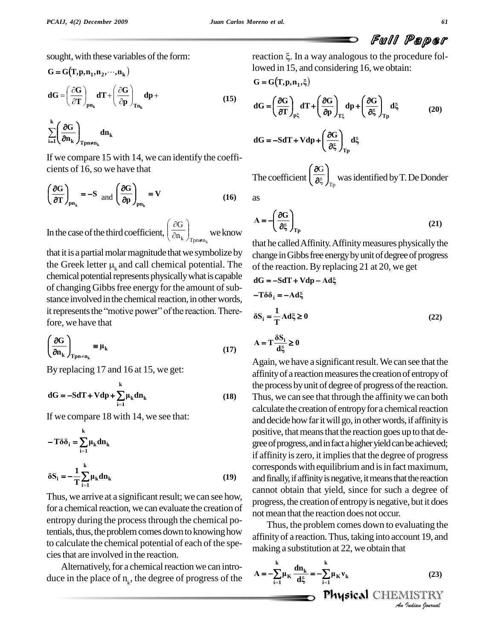sought, with these variables of the form:  
\n
$$
G = G(T, p, n_1, n_2, \dots, n_k)
$$
\n
$$
dG = \left(\frac{\partial G}{\partial T}\right)_{pn_k} dT + \left(\frac{\partial G}{\partial p}\right)_{Tn_k} dp +
$$
\n(15)

**k**  $Tpn \neq n_{k}$  $k \sim$ i=1 $\mathcal{L}^{\text{UL}}$ k  $f_{\text{Ton}\neq n}$  $\frac{d\mathbf{a}}{\mathbf{n_k}}\right|_{\text{Trm+n}}$  dn<sub>k</sub>  $G \Big|_{\text{dm}}$  $\begin{align} \left(\frac{\partial \mathbf{T}}{\partial \mathbf{n}_k}\right)_{\mathbf{p} \mathbf{n}_k} \ \sum_{\mathbf{i} = \mathbf{1}}^k \left(\frac{\partial \mathbf{G}}{\partial \mathbf{n}_k}\right)_{\mathbf{T} \mathbf{p} \mathbf{n} \neq \mathbf{n}_k} \end{align}$  $\sqrt{2}$  $\int \partial G$ )

If we compare 15 with 14, we can identify the coeffi cients of 16,so we have that

The coeffi  
\n
$$
\left(\frac{\partial G}{\partial T}\right)_{pn_k} = -S
$$
 and  $\left(\frac{\partial G}{\partial p}\right)_{pn_k} = V$  (16) as

In the case of the third coefficient,  $\left(\frac{\partial n_k}{\partial n_k}\right)_{\text{Top} \neq n_k}$  we k  $\begin{array}{c} \text{G} \end{array}$  $\sqrt{2}$  $\sqrt{6}$ we know  $\left( \begin{array}{c} c_{5} \end{array} \right)$ 

that it is a partial molar magnitude that we symbolize by change that it is a partial molar magnitude that we symbolize by change the Greek letter  $\mu_k$  and call chemical potential. The of the chemical potential represents physically what is capable of changing Gibbs free energy for the amount of substance involved in the chemical reaction, in other words,<br>it represents the "motive power" of the reaction. Therestance involved in the chemical reaction, in other words, fore, we have that Ï

107. 
$$
\left(\frac{\partial G}{\partial n_k}\right)_{\text{Top} \neq n_k} \equiv \mu_k
$$

\n(17)

By replacing 17 and 16 at 15, we get:  
\na  
\n
$$
dG = -SdT + Vdp + \sum_{i=1}^{k} \mu_k dn_k
$$
\n(18)

If we compare 18 with 14, we see that:  
\n
$$
-T\delta\delta_i = \sum_{i=1}^{k} \mu_k d n_k
$$
\n
$$
\delta S_i = -\frac{1}{T} \sum_{i=1}^{k} \mu_k d n_k
$$
\n(19)

Thus, we arrive at a significant result; we can see how, for a chemical reaction, we can evaluate the creation of entropy during the process through the chemical potentials, thus, the problem comes down to knowing how to calculate the chemical potential of each of the spe ciesthat are involved in the reaction.

Alternatively, for a chemical reaction we can introduce in the place of  $n_k$ , the degree of progress of the

reaction  $\xi$ . In a way analogous to the procedure followed in 15, and considering 16, we obtain:<br>  $G = G(T, p, n_1, \xi)$ 

$$
G = G(T, p, n_1, \xi)
$$
  
\n
$$
dG = \left(\frac{\partial G}{\partial T}\right)_{p\xi} dT + \left(\frac{\partial G}{\partial p}\right)_{T\xi} dp + \left(\frac{\partial G}{\partial \xi}\right)_{Tp} d\xi
$$
 (20)  
\n
$$
dG = -SdT + Vdp + \left(\frac{\partial G}{\partial \xi}\right)_{Tp} d\xi
$$

The coefficient  $\left(\frac{\partial G}{\partial \xi}\right)_{T_p}$  was i G  $\vert$  $\overline{\phantom{0}}$  $\overline{1}$ was identified by T. De Donder

$$
A = -\left(\frac{\partial G}{\partial \xi}\right)_{Tp}
$$
 (21)

that he called Affinity. Affinity measures physically the change in Gibbs free energy by unit of degree of progress of the reaction. By replacing 21 at 20, we get  $dG = -SdT + Vdp - Ad\xi$ 

$$
dG = -SdT + Vdp - Ad\xi
$$
  
\n
$$
-T\delta\delta_i = -Ad\xi
$$
  
\n
$$
\delta S_i = \frac{1}{T} Ad\xi \ge 0
$$
  
\n
$$
A = T\frac{\delta S_i}{d\xi} \ge 0
$$
\n(22)

Again, we have a significant result. We can see that the affinity of a reaction measures the creation of entropy of the process byunit of degree of progressofthe reaction. Thus, we can see that through the affinity we can both calculate the creation of entropy for a chemical reaction and decide how far it will go, in other words, if affinity is positive, that means that the reaction goes up to that degree of progress, and in fact a higher yield can be achieved; if affinity is zero, it implies that the degree of progress corresponds with equilibrium and is in fact maximum, and finally, if affinity is negative, it means that the reaction cannot obtain that yield, since for such a degree of progress, the creation of entropyis negative, but it does not mean that the reaction does not occur.

*An*affinityof a reaction.Thus, taking into account 19, and Thus, the problem comes down to evaluating the

affinity of a reaction. Thus, taking into account 19, and making a substitution at 22, we obtain that\n
$$
A = -\sum_{i=1}^{k} \mu_K \frac{dn_k}{d\xi} = -\sum_{i=1}^{k} \mu_K v_k
$$
\n(23)\n\n**Physical** CHEMISTRY\n*At a Indian Journal*

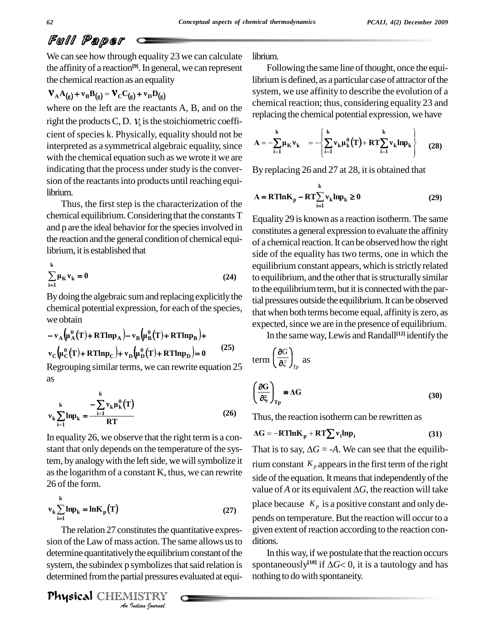We can see how through equality 23 we can calculate the affinity of a reaction<sup>[9]</sup>. In general, we can represent the chemical reaction as an equality

### $\mathbf{V}_{\mathbf{A}}\mathbf{A}_{(g)} + \mathbf{v}_{\mathbf{B}}\mathbf{B}_{(g)} = \mathbf{V}_{\mathbf{C}}\mathbf{C}_{(g)} + \mathbf{v}_{\mathbf{D}}\mathbf{D}_{(g)}$

where on the left are the reactants A, B, and on the right the products C, D.  $V_i$  is the stoichiometric coefficient of species k. Physically, equality should not be interpreted as a symmetrical algebraic equality, since with the chemical equation such as we wrote it we are indicating that the process under study is the conversion of the reactants into products until reaching equilibrium.

Thus, the first step is the characterization of the chemical equilibrium. Considering that the constants T and p are the ideal behavior for the species involved in the reaction and the general condition of chemical equilibrium, it is established that

$$
\sum_{i=1}^{k} \mu_K v_k = 0 \tag{24}
$$

By doing the algebraic sum and replacing explicitly the chemical potential expression, for each of the species, we obtain

$$
-v_A \left(\mu_A^{\theta}(T) + RTInp_A\right) - v_B \left(\mu_B^{\theta}(T) + RTInp_B\right) +
$$
  
\n
$$
v_C \left(\mu_C^{\theta}(T) + RTInp_C\right) + v_D \left(\mu_D^{\theta}(T) + RTInp_D\right) = 0
$$
 (25)

Regrouping similar terms, we can rewrite equation 25 as

$$
\mathbf{v}_{k} \sum_{i=1}^{k} \mathbf{ln} \mathbf{p}_{k} = \frac{-\sum_{i=1}^{k} \mathbf{v}_{k} \mu_{k}^{\theta}(T)}{RT}
$$
(26)

In equality 26, we observe that the right term is a constant that only depends on the temperature of the system, by analogy with the left side, we will symbolize it as the logarithm of a constant K, thus, we can rewrite 26 of the form.

$$
v_k \sum_{i=1}^{k} \ln p_k = \ln K_p(T)
$$
 (27)

The relation 27 constitutes the quantitative expression of the Law of mass action. The same allows us to determine quantitatively the equilibrium constant of the system, the subindex p symbolizes that said relation is determined from the partial pressures evaluated at equi-

**Physical** CHEMISTRY

librium.

Following the same line of thought, once the equilibrium is defined, as a particular case of attractor of the system, we use affinity to describe the evolution of a chemical reaction; thus, considering equality 23 and replacing the chemical potential expression, we have

$$
A = -\sum_{i=1}^{k} \mu_{K} v_{k} = -\left\{ \sum_{i=1}^{k} v_{k} \mu_{k}^{\theta}(T) + RT \sum_{i=1}^{k} v_{k} l n p_{k} \right\}
$$
 (28)

By replacing 26 and 27 at 28, it is obtained that

$$
A = RTlnK_p - RT\sum_{i=1}^{k} v_k ln p_k \ge 0
$$
 (29)

Equality 29 is known as a reaction isotherm. The same constitutes a general expression to evaluate the affinity of a chemical reaction. It can be observed how the right side of the equality has two terms, one in which the equilibrium constant appears, which is strictly related to equilibrium, and the other that is structurally similar to the equilibrium term, but it is connected with the partial pressures outside the equilibrium. It can be observed that when both terms become equal, affinity is zero, as expected, since we are in the presence of equilibrium.

In the same way, Lewis and Randall<sup>[12]</sup> identify the

$$
erm\left(\frac{\partial G}{\partial \xi}\right)_{T_P} as
$$
  

$$
\left(\frac{\partial G}{\partial \xi}\right)_{T_P} = \Delta G
$$
 (30)

Thus, the reaction isotherm can be rewritten as

$$
\Delta G = -RTlnK_p + RT\sum v_i lnp_i \tag{31}
$$

That is to say,  $\Delta G = -A$ . We can see that the equilibrium constant  $K_p$  appears in the first term of the right side of the equation. It means that independently of the value of A or its equivalent  $\Delta G$ , the reaction will take place because  $K_p$  is a positive constant and only depends on temperature. But the reaction will occur to a given extent of reaction according to the reaction conditions.

In this way, if we postulate that the reaction occurs spontaneously<sup>[10]</sup> if  $\Delta G$  < 0, it is a tautology and has nothing to do with spontaneity.

 $\mathbf{r}$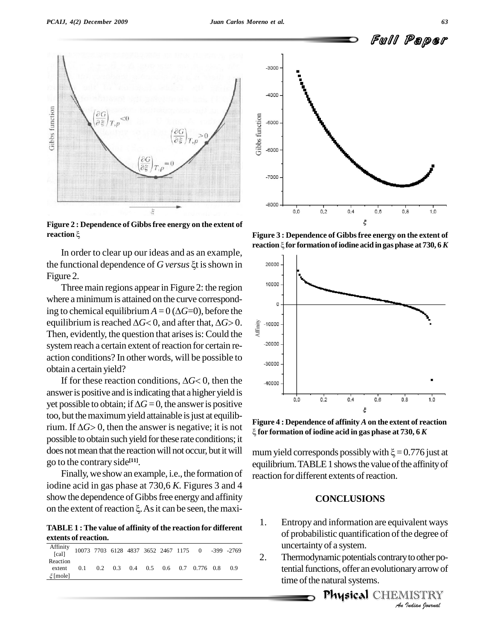

**Figure 2 : Dependence of Gibbsfree energy on the extent of rigure 2 : Depende**<br>reaction ९

Figure 3<br>
In order to clear up our ideas and as an example,<br>
the functional dependence of *G versus*  $\xi$ t is shown in Figure 2.

Three main regions appear in Figure 2: the region where a minimum is attained on the curve correspond-Three main regions appear in Figure 2: the region<br>where a minimum is attained on the curve correspond-<br>ing to chemical equilibrium  $A = 0$  ( $\Delta G=0$ ), before the where a minimum is attained on the curve correspond-<br>ing to chemical equilibrium  $A = 0$  ( $\Delta G=0$ ), before the<br>equilibrium is reached  $\Delta G< 0$ , and after that,  $\Delta G> 0$ . equilibrium is reached  $\Delta G < 0$ , and after that,  $\Delta G > 0$ .<br>Then, evidently, the question that arises is: Could the system reach a certain extent of reaction for certain re-<br>action conditions? In other words, will be possible to obtain a certain yield? on conditions? In other words, will be possible to<br>in a certain yield?<br>If for these reaction conditions,  $\Delta G < 0$ , then the

answer is positive and is indicating that a higher yield is If for these reaction conditions,  $\Delta G < 0$ , then the<br>answer is positive and is indicating that a higher yield is<br>yet possible to obtain; if  $\Delta G = 0$ , the answer is positive too, but the maximum yield attainable is just at equilibyet possible to obtain; if  $\Delta G = 0$ , the answer is positive<br>too, but the maximum yield attainable is just at equilib-<br>rium. If  $\Delta G > 0$ , then the answer is negative; it is not possible to obtain such yield forthese rate conditions; it does not mean that the reaction will not occur, but it will go to the contrary side **[11]**.

Finally, we show an example, i.e., the formation of iodine acid in gas phase at 730,6 *K.* Figures 3 and 4 show the dependence of Gibbs free energy and affinity iodine acid in gas phase at 730,6 K. Figures 3 and 4<br>show the dependence of Gibbs free energy and affinity<br>on the extent of reaction  $\xi$ . As it can be seen, the maxi-

**TABLE 1 : The value of affinity of the reaction for different extents of reaction.**

| Reaction<br>0.2 0.3 0.4 0.5 0.6 0.7 0.776 0.8 0.9<br>0.1<br>extent | Affinity 10073 7703 6128 4837 3652 2467 1175 0 -399 -2769 |  |  |  |  |  |
|--------------------------------------------------------------------|-----------------------------------------------------------|--|--|--|--|--|
|                                                                    | $\xi$ [mole]                                              |  |  |  |  |  |



**Figure 3 : Dependence of Gibbsfree energy on the extent of reaction for formationofiodine acid ingas phase at 730, <sup>6</sup>***<sup>K</sup>*



**Figure 4 : Dependence of affinity** *A***on the extent of reaction for formation of iodine acid in gas phase at 730, 6** *K*

mum yield corresponds possibly with  $\xi = 0.776$  just at equilibrium. TABLE 1 shows the value of the affinity of reaction for different extents of reaction.

#### **CONCLUSIONS**

- of probabilistic quantification of the degree of 1. Entropy and information are equivalent ways uncertaintyof a system.
- *I I I I I I O Other poary arrow of<br>I ISTRY<br><i>I Isalian Iournal* 2. Thermodynamic potentials contrary to other potential functions, offer an evolutionary arrow of time of the natural systems.



Full Paper